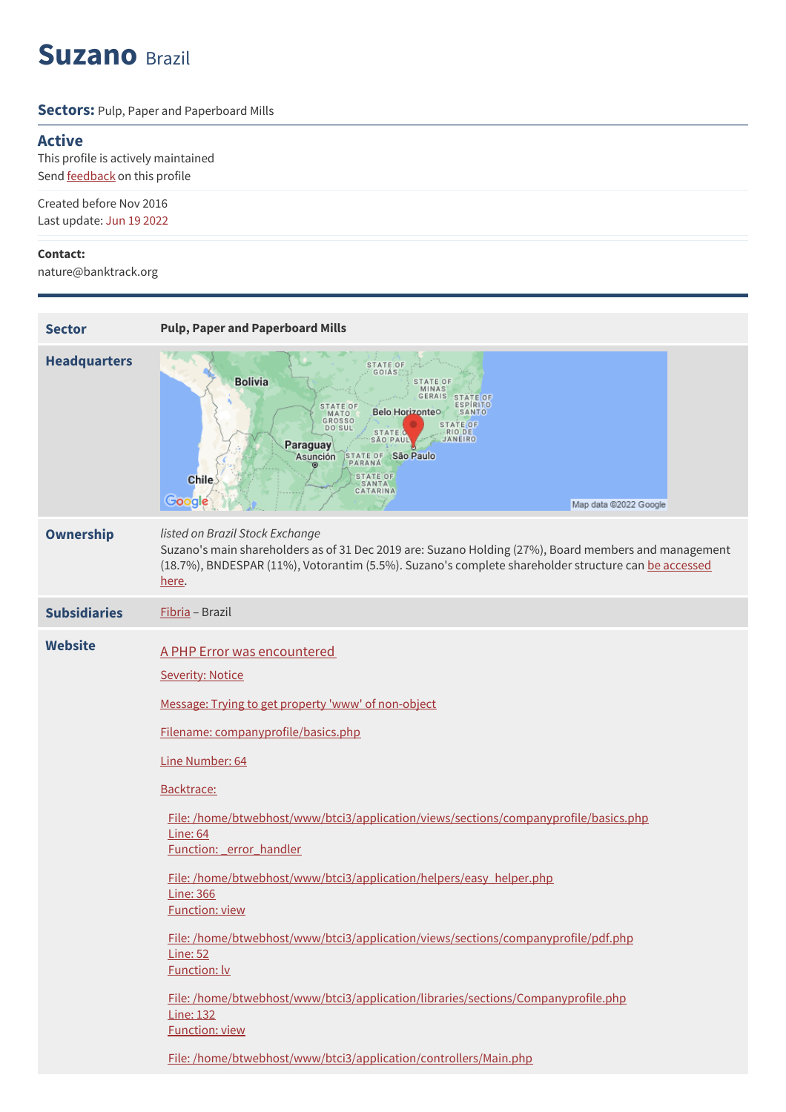# **Suzano** Brazil

#### **Sectors: Pulp, Paper and Paperboard Mills**

### **Active**

This profile is actively maintained Send **[feedback](https://www.banktrack.org/feedback/companyprofile/suzano)** on this profile

Created before Nov 2016 Last update: Jun 19 2022

#### **Contact:**

nature@banktrack.org

| <b>Sector</b>       | <b>Pulp, Paper and Paperboard Mills</b>                                                                                                                                                                                                                                                                                                                                                                                                                                                                                                                                                                                                                                                                                                                                            |
|---------------------|------------------------------------------------------------------------------------------------------------------------------------------------------------------------------------------------------------------------------------------------------------------------------------------------------------------------------------------------------------------------------------------------------------------------------------------------------------------------------------------------------------------------------------------------------------------------------------------------------------------------------------------------------------------------------------------------------------------------------------------------------------------------------------|
| <b>Headquarters</b> | STATE OF<br><b>GOIÁS</b><br><b>Bolivia</b><br><b>STATE OF</b><br>MINAS<br>GERAIS<br><b>STATE OF</b><br><b>ESPIRITO</b><br><b>STATE OF</b><br>Belo Horizonteo<br>SANTO<br>MATO<br><b>GROSSO</b><br><b>STATE OF</b><br><b>DO SUL</b><br><b>RIODE</b><br><b>STATE O</b><br>JANEIRO<br><b>SÃO PAUL</b><br>Paraguay<br>STATE OF São Paulo<br>Asunción<br>PARANÁ<br><b>STATE OF</b><br>Chile<br><b>SANTA</b><br>CATARINA<br>Google<br>Map data @2022 Google                                                                                                                                                                                                                                                                                                                              |
| <b>Ownership</b>    | listed on Brazil Stock Exchange<br>Suzano's main shareholders as of 31 Dec 2019 are: Suzano Holding (27%), Board members and management<br>(18.7%), BNDESPAR (11%), Votorantim (5.5%). Suzano's complete shareholder structure can be accessed<br>here.                                                                                                                                                                                                                                                                                                                                                                                                                                                                                                                            |
| <b>Subsidiaries</b> | Fibria - Brazil                                                                                                                                                                                                                                                                                                                                                                                                                                                                                                                                                                                                                                                                                                                                                                    |
| <b>Website</b>      | A PHP Error was encountered<br><b>Severity: Notice</b><br>Message: Trying to get property 'www' of non-object<br>Filename: companyprofile/basics.php<br>Line Number: 64<br>Backtrace:<br>File:/home/btwebhost/www/btci3/application/views/sections/companyprofile/basics.php<br><b>Line: 64</b><br>Function: error handler<br>File: /home/btwebhost/www/btci3/application/helpers/easy_helper.php<br><b>Line: 366</b><br><b>Function: view</b><br>File:/home/btwebhost/www/btci3/application/views/sections/companyprofile/pdf.php<br><b>Line: 52</b><br><b>Function: lv</b><br>File: /home/btwebhost/www/btci3/application/libraries/sections/Companyprofile.php<br><b>Line: 132</b><br><b>Function: view</b><br>File: /home/btwebhost/www/btci3/application/controllers/Main.php |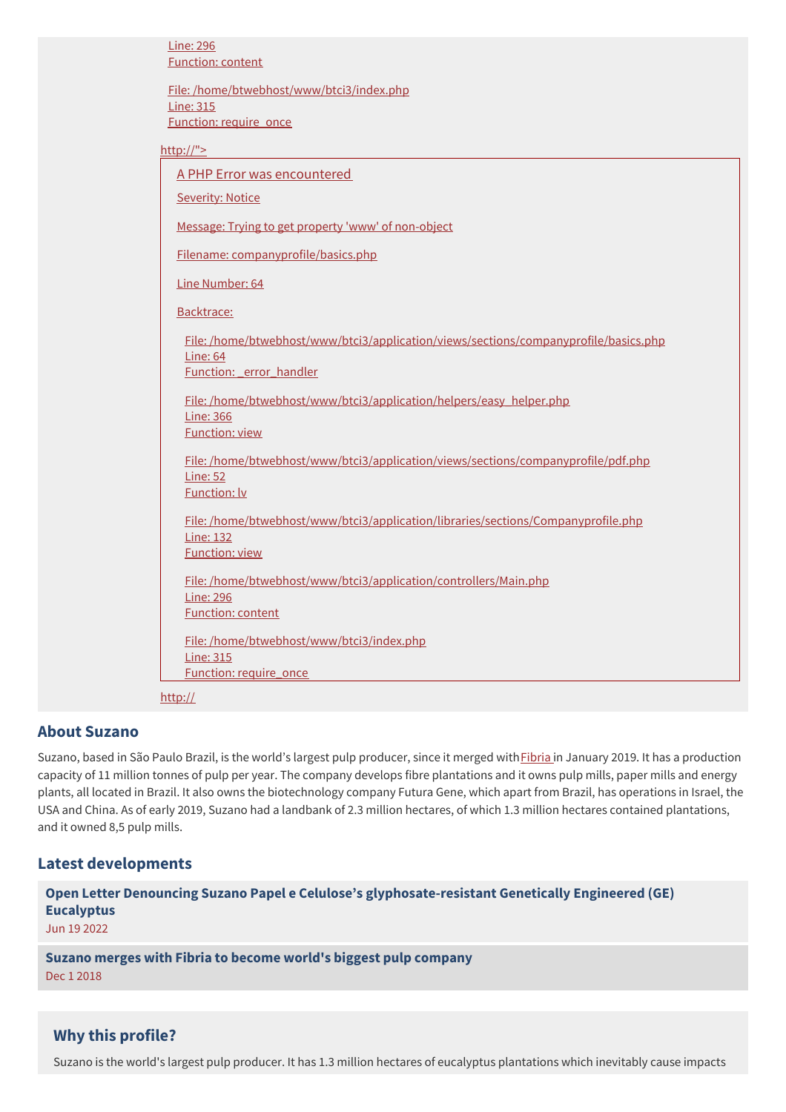| <b>Line: 296</b><br><b>Function: content</b>                                                         |
|------------------------------------------------------------------------------------------------------|
| File: /home/btwebhost/www/btci3/index.php<br><b>Line: 315</b>                                        |
| Function: require_once                                                                               |
| http://">                                                                                            |
| A PHP Error was encountered                                                                          |
| <b>Severity: Notice</b>                                                                              |
| Message: Trying to get property 'www' of non-object                                                  |
| Filename: companyprofile/basics.php                                                                  |
| Line Number: 64                                                                                      |
| Backtrace:                                                                                           |
| File:/home/btwebhost/www/btci3/application/views/sections/companyprofile/basics.php<br>Line: 64      |
| Function: error handler                                                                              |
| File: /home/btwebhost/www/btci3/application/helpers/easy_helper.php<br><b>Line: 366</b>              |
| <b>Function: view</b>                                                                                |
| File:/home/btwebhost/www/btci3/application/views/sections/companyprofile/pdf.php                     |
| <b>Line: 52</b><br><b>Function: Iv</b>                                                               |
| File:/home/btwebhost/www/btci3/application/libraries/sections/Companyprofile.php<br><b>Line: 132</b> |
| <b>Function: view</b>                                                                                |
| File: /home/btwebhost/www/btci3/application/controllers/Main.php                                     |
| <b>Line: 296</b><br><b>Function: content</b>                                                         |
| File: /home/btwebhost/www/btci3/index.php                                                            |
| <b>Line: 315</b><br>Function: require_once                                                           |
| http://                                                                                              |

#### **About Suzano**

Suzano, based in São Paulo Brazil, is the world's largest pulp producer, since it merged with *[Fibria](https://www.banktrack.org/company/fibria)* in January 2019. It has a production capacity of 11 million tonnes of pulp per year. The company develops fibre plantations and it owns pulp mills, paper mills and energy plants, all located in Brazil. It also owns the biotechnology company Futura Gene, which apart from Brazil, has operations in Israel, the USA and China. As of early 2019, Suzano had a landbank of 2.3 million hectares, of which 1.3 million hectares contained plantations, and it owned 8,5 pulp mills.

#### **Latest developments**

**Open Letter Denouncing Suzano Papel e Celulose's [glyphosate-resistant](javascript:void(0)) Genetically Engineered (GE) Eucalyptus**

Jun 19 2022

**Suzano merges with Fibria to become world's biggest pulp [company](javascript:void(0))** Dec 1 2018

#### **Why this profile?**

Suzano is the world's largest pulp producer. It has 1.3 million hectares of eucalyptus plantations which inevitably cause impacts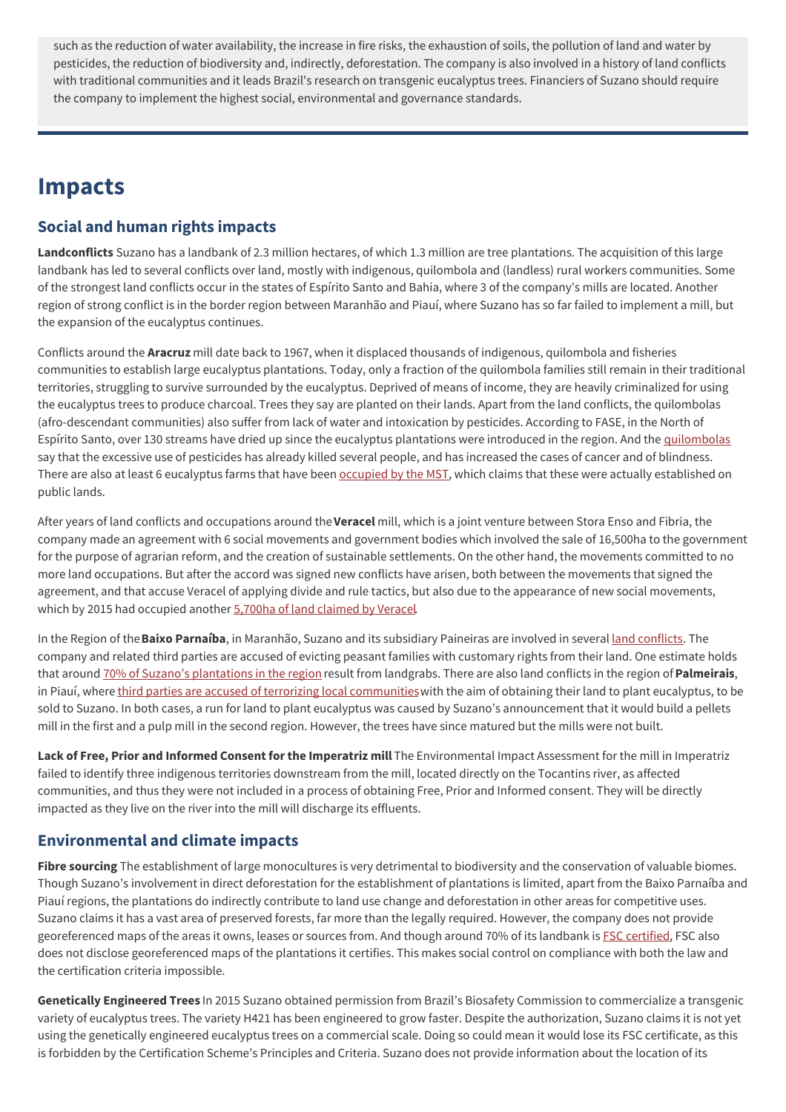such as the reduction of water availability, the increase in fire risks, the exhaustion of soils, the pollution of land and water by pesticides, the reduction of biodiversity and, indirectly, deforestation. The company is also involved in a history of land conflicts with traditional communities and it leads Brazil's research on transgenic eucalyptus trees. Financiers of Suzano should require the company to implement the highest social, environmental and governance standards.

## **Impacts**

### **Social and human rights impacts**

**Landconflicts** Suzano has a landbank of 2.3 million hectares, of which 1.3 million are tree plantations. The acquisition of this large landbank has led to several conflicts over land, mostly with indigenous, quilombola and (landless) rural workers communities. Some of the strongest land conflicts occur in the states of Espírito Santo and Bahia, where 3 of the company's mills are located. Another region of strong conflict is in the border region between Maranhão and Piauí, where Suzano has so far failed to implement a mill, but the expansion of the eucalyptus continues.

Conflicts around the **Aracruz** mill date back to 1967, when it displaced thousands of indigenous, quilombola and fisheries communities to establish large eucalyptus plantations. Today, only a fraction of the quilombola families still remain in their traditional territories, struggling to survive surrounded by the eucalyptus. Deprived of means of income, they are heavily criminalized for using the eucalyptus trees to produce charcoal. Trees they say are planted on their lands. Apart from the land conflicts, the quilombolas (afro-descendant communities) also suffer from lack of water and intoxication by pesticides. According to FASE, in the North of Espírito Santo, over 130 streams have dried up since the eucalyptus plantations were introduced in the region. And the [quilombolas](http://apublica.org/2015/10/especial-quilombolas/) say that the excessive use of pesticides has already killed several people, and has increased the cases of cancer and of blindness. There are also at least 6 eucalyptus farms that have been [occupied](https://seculodiario.com.br/public/jornal/materia/fazenda-em-posse-da-fibria-em-fundao-e-ocupada-pelo-mst) by the MST, which claims that these were actually established on public lands.

After years of land conflicts and occupations around the**Veracel** mill, which is a joint venture between Stora Enso and Fibria, the company made an agreement with 6 social movements and government bodies which involved the sale of 16,500ha to the government for the purpose of agrarian reform, and the creation of sustainable settlements. On the other hand, the movements committed to no more land occupations. But after the accord was signed new conflicts have arisen, both between the movements that signed the agreement, and that accuse Veracel of applying divide and rule tactics, but also due to the appearance of new social movements, which by 2015 had occupied another 5,700ha of land [claimed](http://www.veracel.com.br/en/wp-content/uploads/sites/2/2016/09/SustainabilityReport2015.pdf) by Veracel.

In the Region of the**Baixo Parnaíba**, in Maranhão, Suzano and its subsidiary Paineiras are involved in several land [conflicts](https://territorioslivresdobaixoparnaiba.blogspot.com). The company and related third parties are accused of evicting peasant families with customary rights from their land. One estimate holds that around 70% of Suzano's [plantations](http://biofuelwatch.org.uk/wp-content/uploads/eucalyptus-plantations-for-energy-online.pdf) in the region result from landgrabs. There are also land conflicts in the region of**Palmeirais**, in Piauí, where third parties are accused of terrorizing local [communities](https://news.mongabay.com/2018/10/cerrado-towns-terrorized-to-provide-toilet-paper-for-the-world-say-critics/) with the aim of obtaining their land to plant eucalyptus, to be sold to Suzano. In both cases, a run for land to plant eucalyptus was caused by Suzano's announcement that it would build a pellets mill in the first and a pulp mill in the second region. However, the trees have since matured but the mills were not built.

**Lack of Free, Prior and Informed Consent for the Imperatriz mill** The Environmental Impact Assessment for the mill in Imperatriz failed to identify three indigenous territories downstream from the mill, located directly on the Tocantins river, as affected communities, and thus they were not included in a process of obtaining Free, Prior and Informed consent. They will be directly impacted as they live on the river into the mill will discharge its effluents.

### **Environmental and climate impacts**

**Fibre sourcing** The establishment of large monocultures is very detrimental to biodiversity and the conservation of valuable biomes. Though Suzano's involvement in direct deforestation for the establishment of plantations is limited, apart from the Baixo Parnaíba and Piauí regions, the plantations do indirectly contribute to land use change and deforestation in other areas for competitive uses. Suzano claims it has a vast area of preserved forests, far more than the legally required. However, the company does not provide georeferenced maps of the areas it owns, leases or sources from. And though around 70% of its landbank is FSC [certified](https://info.fsc.org/certificate.php), FSC also does not disclose georeferenced maps of the plantations it certifies. This makes social control on compliance with both the law and the certification criteria impossible.

**Genetically Engineered Trees** In 2015 Suzano obtained permission from Brazil's Biosafety Commission to commercialize a transgenic variety of eucalyptus trees. The variety H421 has been engineered to grow faster. Despite the authorization, Suzano claims it is not yet using the genetically engineered eucalyptus trees on a commercial scale. Doing so could mean it would lose its FSC certificate, as this is forbidden by the Certification Scheme's Principles and Criteria. Suzano does not provide information about the location of its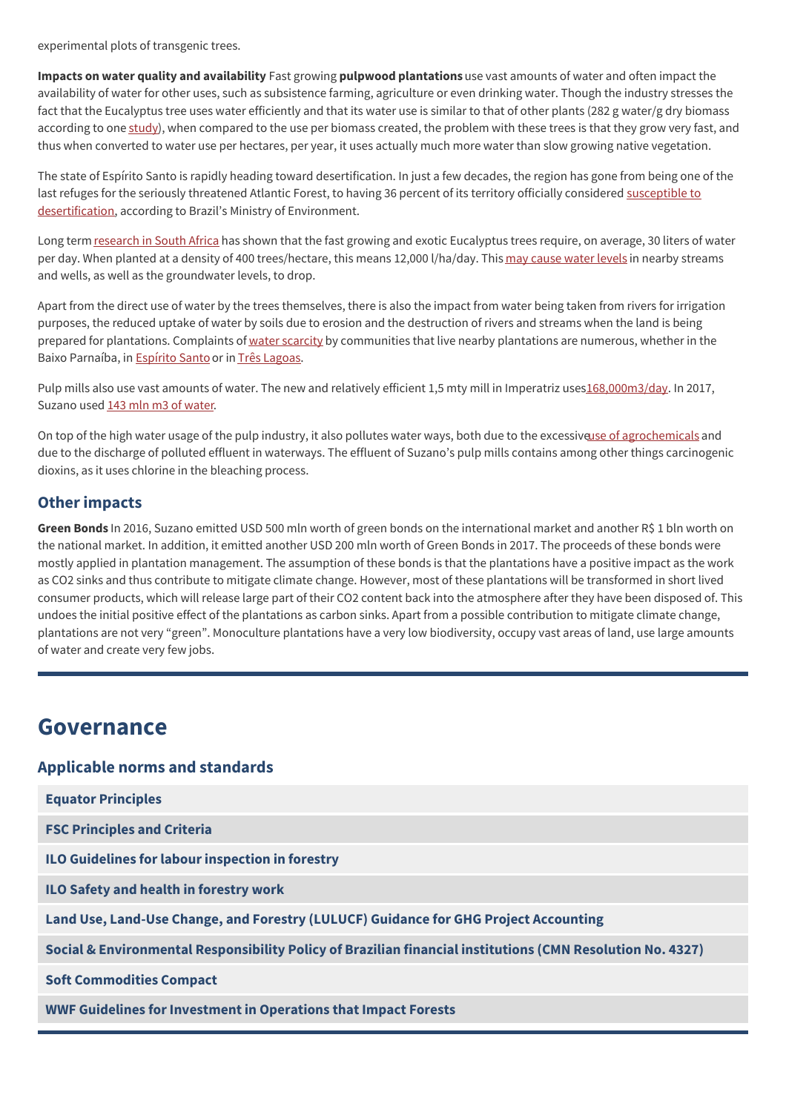experimental plots of transgenic trees.

**Impacts on water quality and availability** Fast growing **pulpwood plantations** use vast amounts of water and often impact the availability of water for other uses, such as subsistence farming, agriculture or even drinking water. Though the industry stresses the fact that the Eucalyptus tree uses water efficiently and that its water use is similar to that of other plants (282 g water/g dry biomass according to one [study](https://revistas.ufpr.br/floresta/article/view/2419/2021)), when compared to the use per biomass created, the problem with these trees is that they grow very fast, and thus when converted to water use per hectares, per year, it uses actually much more water than slow growing native vegetation.

The state of Espírito Santo is rapidly heading toward desertification. In just a few decades, the region has gone from being one of the last refuges for the seriously threatened Atlantic Forest, to having 36 percent of its territory officially considered susceptible to [desertification,](https://news.mongabay.com/2017/03/pressure-over-water-in-brazil-puts-pulp-industry-in-the-spotlight/) according to Brazil's Ministry of Environment.

Long term [research](https://www.hindawi.com/journals/ijfr/2013/852540/) in South Africa has shown that the fast growing and exotic Eucalyptus trees require, on average, 30 liters of water per day. When planted at a density of 400 trees/hectare, this means 12,000 l/ha/day. This may [cause](http://www2.camara.leg.br/atividade-legislativa/estudos-e-notas-tecnicas/publicacoes-da-consultoria-legislativa/arquivos-pdf/pdf/2004_12.pdf) water levels in nearby streams and wells, as well as the groundwater levels, to drop.

Apart from the direct use of water by the trees themselves, there is also the impact from water being taken from rivers for irrigation purposes, the reduced uptake of water by soils due to erosion and the destruction of rivers and streams when the land is being prepared for plantations. Complaints of water [scarcity](http://biofuelwatch.org.uk/wp-content/uploads/eucalyptus-plantations-for-energy-online.pdf) by communities that live nearby plantations are numerous, whether in the Baixo Parnaíba, in **[Espírito](http://apublica.org/2015/10/especial-quilombolas/) Santo or in Três [Lagoas](http://environmentalpaper.org/wp-content/uploads/2017/09/170314-Pulp-Mill-Expansion-in-Brazil-discussion-document.pdf)**.

Pulp mills also use vast amounts of water. The new and relatively efficient 1,5 mty mill in Imperatriz use[s168,000m3/day](http://www.suzano.com.br/portal/suzano-papel-e-celulose/suzano-papel-e-celulose.htm). In 2017, Suzano used 143 mln m3 of [water](http://www.suzano.com.br/relatoriodesustentabilidade2017/pdf/Relatorio_2017.pdf?v=6).

On top of the high water usage of the pulp industry, it also pollutes water ways, both due to the excessiveuse of [agrochemicals](http://biofuelwatch.org.uk/wp-content/uploads/eucalyptus-plantations-for-energy-online.pdf) and due to the discharge of polluted effluent in waterways. The effluent of Suzano's pulp mills contains among other things carcinogenic dioxins, as it uses chlorine in the bleaching process.

#### **Other impacts**

**Green Bonds** In 2016, Suzano emitted USD 500 mln worth of green bonds on the international market and another R\$ 1 bln worth on the national market. In addition, it emitted another USD 200 mln worth of Green Bonds in 2017. The proceeds of these bonds were mostly applied in plantation management. The assumption of these bonds is that the plantations have a positive impact as the work as CO2 sinks and thus contribute to mitigate climate change. However, most of these plantations will be transformed in short lived consumer products, which will release large part of their CO2 content back into the atmosphere after they have been disposed of. This undoes the initial positive effect of the plantations as carbon sinks. Apart from a possible contribution to mitigate climate change, plantations are not very "green". Monoculture plantations have a very low biodiversity, occupy vast areas of land, use large amounts of water and create very few jobs.

## **Governance**

#### **Applicable norms and standards**

| <b>Equator Principles</b>                                                                                  |
|------------------------------------------------------------------------------------------------------------|
| <b>FSC Principles and Criteria</b>                                                                         |
| ILO Guidelines for labour inspection in forestry                                                           |
| <b>ILO Safety and health in forestry work</b>                                                              |
| Land Use, Land-Use Change, and Forestry (LULUCF) Guidance for GHG Project Accounting                       |
| Social & Environmental Responsibility Policy of Brazilian financial institutions (CMN Resolution No. 4327) |
| <b>Soft Commodities Compact</b>                                                                            |
| <b>WWF Guidelines for Investment in Operations that Impact Forests</b>                                     |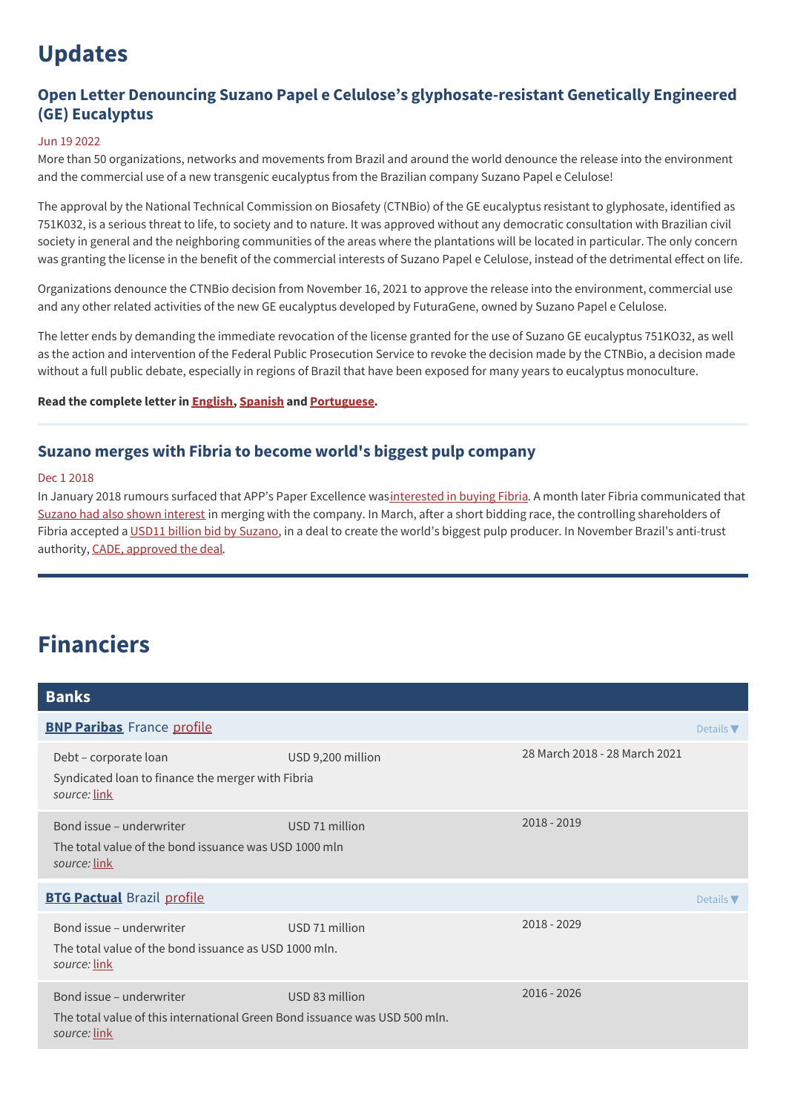# **Updates**

### **Open Letter Denouncing Suzano Papel e Celulose's glyphosate-resistant Genetically Engineered (GE) Eucalyptus**

#### Jun 19 2022

More than 50 organizations, networks and movements from Brazil and around the world denounce the release into the environment and the commercial use of a new transgenic eucalyptus from the Brazilian company Suzano Papel e Celulose!

The approval by the National Technical Commission on Biosafety (CTNBio) of the GE eucalyptus resistant to glyphosate, identified as 751K032, is a serious threat to life, to society and to nature. It was approved without any democratic consultation with Brazilian civil society in general and the neighboring communities of the areas where the plantations will be located in particular. The only concern was granting the license in the benefit of the commercial interests of Suzano Papel e Celulose, instead of the detrimental effect on life.

Organizations denounce the CTNBio decision from November 16, 2021 to approve the release into the environment, commercial use and any other related activities of the new GE eucalyptus developed by FuturaGene, owned by Suzano Papel e Celulose.

The letter ends by demanding the immediate revocation of the license granted for the use of Suzano GE eucalyptus 751KO32, as well as the action and intervention of the Federal Public Prosecution Service to revoke the decision made by the CTNBio, a decision made without a full public debate, especially in regions of Brazil that have been exposed for many years to eucalyptus monoculture.

**Read the complete letter in [English](https://alertacontradesertosverdes.org/wp-content/uploads/2022/06/LetterEucalyptusSuzano-05June2022-1.pdf), [Spanish](https://alertacontradesertosverdes.org/wp-content/uploads/2022/06/CartaEucaliptoSuzano-05Junio2022.pdf) and [Portuguese](https://alertacontradesertosverdes.org/noticias/carta-publica-de-denuncia-do-eucalipto-transgenico-da-suzano-papel-e-celulose/).**

#### **Suzano merges with Fibria to become world's biggest pulp company**

#### Dec 1 2018

In January 2018 rumours surfaced that APP's Paper Excellence was[interested](https://ri.fibria.com.br/ptb/7030/594697.pdf) in buying Fibria. A month later Fibria communicated that Suzano had also shown [interest](https://ri.fibria.com.br/ptb/7074/597105.pdf) in merging with the company. In March, after a short bidding race, the controlling shareholders of Fibria accepted a USD11 billion bid by [Suzano](https://www.reuters.com/article/us-fibria-m-a-suzano-papel/brazil-creates-pulp-giant-expansion-plans-shelved-idUSKCN1GS1JH?utm_source=feedburner&utm_medium=feed&utm_campaign=Feed%253A+NewGenerationPlantations+%2528New+Generation+Plantations%2529), in a deal to create the world's biggest pulp producer. In November Brazil's anti-trust authority, CADE, [approved](https://ri.fibria.com.br/ptb/7629/2018%2011%2001%20-%20CM%20Aprovao%20Decurso%20Prazo%20CADE.pdf) the deal.

# **Financiers**

| <b>Banks</b>                                                                                                           |                   |                               |  |  |
|------------------------------------------------------------------------------------------------------------------------|-------------------|-------------------------------|--|--|
| <b>BNP Paribas</b> France profile                                                                                      |                   |                               |  |  |
| Debt - corporate loan<br>Syndicated loan to finance the merger with Fibria<br>source: link                             | USD 9,200 million | 28 March 2018 - 28 March 2021 |  |  |
| Bond issue – underwriter<br>The total value of the bond issuance was USD 1000 mln<br>source: <u>link</u>               | USD 71 million    | $2018 - 2019$                 |  |  |
| <b>BTG Pactual Brazil profile</b>                                                                                      |                   |                               |  |  |
| Bond issue - underwriter<br>The total value of the bond issuance as USD 1000 mln.<br>source: <u>link</u>               | USD 71 million    | 2018 - 2029                   |  |  |
| Bond issue – underwriter<br>The total value of this international Green Bond issuance was USD 500 mln.<br>source: link | USD 83 million    | $2016 - 2026$                 |  |  |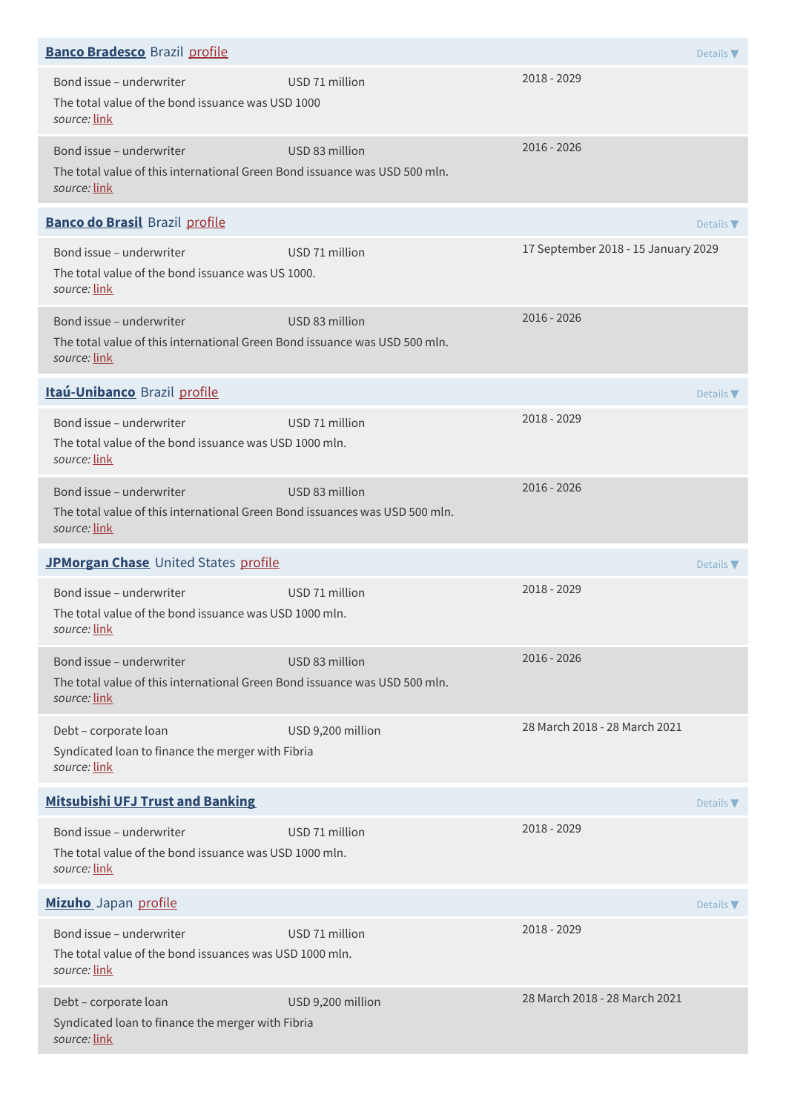| <b>Banco Bradesco</b> Brazil profile                                                                                    |                   |                                     | Details $\nabla$             |
|-------------------------------------------------------------------------------------------------------------------------|-------------------|-------------------------------------|------------------------------|
| Bond issue - underwriter<br>The total value of the bond issuance was USD 1000<br>source: link                           | USD 71 million    | 2018 - 2029                         |                              |
| Bond issue - underwriter<br>The total value of this international Green Bond issuance was USD 500 mln.<br>source: link  | USD 83 million    | 2016 - 2026                         |                              |
| <b>Banco do Brasil Brazil profile</b>                                                                                   |                   |                                     | Details $\blacktriangledown$ |
| Bond issue - underwriter<br>The total value of the bond issuance was US 1000.<br>source: link                           | USD 71 million    | 17 September 2018 - 15 January 2029 |                              |
| Bond issue - underwriter<br>The total value of this international Green Bond issuance was USD 500 mln.<br>source: link  | USD 83 million    | 2016 - 2026                         |                              |
| Itaú-Unibanco Brazil profile                                                                                            |                   |                                     | Details $\nabla$             |
| Bond issue - underwriter<br>The total value of the bond issuance was USD 1000 mln.<br>source: link                      | USD 71 million    | 2018 - 2029                         |                              |
| Bond issue - underwriter<br>The total value of this international Green Bond issuances was USD 500 mln.<br>source: link | USD 83 million    | 2016 - 2026                         |                              |
| JPMorgan Chase United States profile                                                                                    |                   |                                     | Details $\nabla$             |
| Bond issue - underwriter<br>The total value of the bond issuance was USD 1000 mln.<br>source: <u>link</u>               | USD 71 million    | 2018 - 2029                         |                              |
| Bond issue - underwriter<br>The total value of this international Green Bond issuance was USD 500 mln.<br>source: link  | USD 83 million    | 2016 - 2026                         |                              |
| Debt - corporate loan<br>Syndicated loan to finance the merger with Fibria<br>source: link                              | USD 9,200 million | 28 March 2018 - 28 March 2021       |                              |
| <b>Mitsubishi UFJ Trust and Banking</b>                                                                                 |                   |                                     | Details $\nabla$             |
| Bond issue - underwriter<br>The total value of the bond issuance was USD 1000 mln.<br>source: link                      | USD 71 million    | 2018 - 2029                         |                              |
| Mizuho Japan profile                                                                                                    |                   |                                     | Details $\nabla$             |
| Bond issue - underwriter<br>The total value of the bond issuances was USD 1000 mln.<br>source: link                     | USD 71 million    | 2018 - 2029                         |                              |
| Debt - corporate loan<br>Syndicated loan to finance the merger with Fibria<br>source: link                              | USD 9,200 million | 28 March 2018 - 28 March 2021       |                              |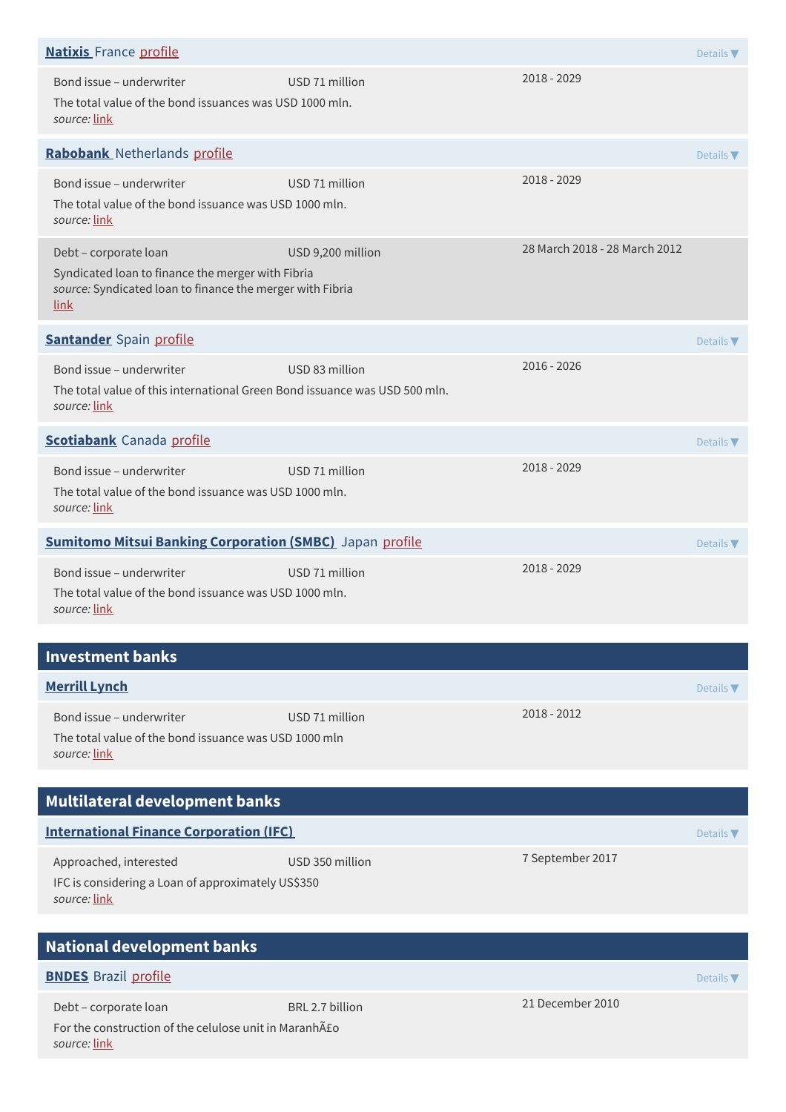| <b>Natixis</b> France profile                                                                                                                          |                   |                               | Details $\nabla$             |
|--------------------------------------------------------------------------------------------------------------------------------------------------------|-------------------|-------------------------------|------------------------------|
| Bond issue - underwriter<br>The total value of the bond issuances was USD 1000 mln.<br>source: link                                                    | USD 71 million    | 2018 - 2029                   |                              |
| Rabobank Netherlands profile                                                                                                                           |                   |                               | Details V                    |
| Bond issue - underwriter<br>The total value of the bond issuance was USD 1000 mln.<br>source: link                                                     | USD 71 million    | 2018 - 2029                   |                              |
| Debt - corporate loan<br>Syndicated loan to finance the merger with Fibria<br>source: Syndicated loan to finance the merger with Fibria<br><u>link</u> | USD 9,200 million | 28 March 2018 - 28 March 2012 |                              |
| <b>Santander</b> Spain profile                                                                                                                         |                   |                               | Details $\nabla$             |
| Bond issue - underwriter<br>The total value of this international Green Bond issuance was USD 500 mln.<br>source: link                                 | USD 83 million    | 2016 - 2026                   |                              |
| <b>Scotiabank</b> Canada profile                                                                                                                       |                   |                               | Details $\blacktriangledown$ |
| Bond issue - underwriter<br>The total value of the bond issuance was USD 1000 mln.<br>source: link                                                     | USD 71 million    | 2018 - 2029                   |                              |
| <b>Sumitomo Mitsui Banking Corporation (SMBC)</b> Japan profile                                                                                        |                   |                               | Details $\nabla$             |
| Bond issue - underwriter<br>The total value of the bond issuance was USD 1000 mln.<br>source: link                                                     | USD 71 million    | 2018 - 2029                   |                              |
| <b>Investment banks</b>                                                                                                                                |                   |                               |                              |
| <b>Merrill Lynch</b>                                                                                                                                   |                   |                               | Details $\nabla$             |
| Bond issue - underwriter<br>The total value of the bond issuance was USD 1000 mln<br>source: link                                                      | USD 71 million    | $2018 - 2012$                 |                              |
| Multilateral development banks                                                                                                                         |                   |                               |                              |
| <b>International Finance Corporation (IFC)</b>                                                                                                         |                   |                               | Details $\blacktriangledown$ |
| Approached, interested<br>IFC is considering a Loan of approximately US\$350<br>source: link                                                           | USD 350 million   | 7 September 2017              |                              |
| <b>National development banks</b>                                                                                                                      |                   |                               |                              |
| <b>BNDES</b> Brazil profile                                                                                                                            |                   |                               | Details $\nabla$             |
| Debt - corporate loan<br>For the construction of the celulose unit in Maranhão<br>source: link                                                         | BRL 2.7 billion   | 21 December 2010              |                              |